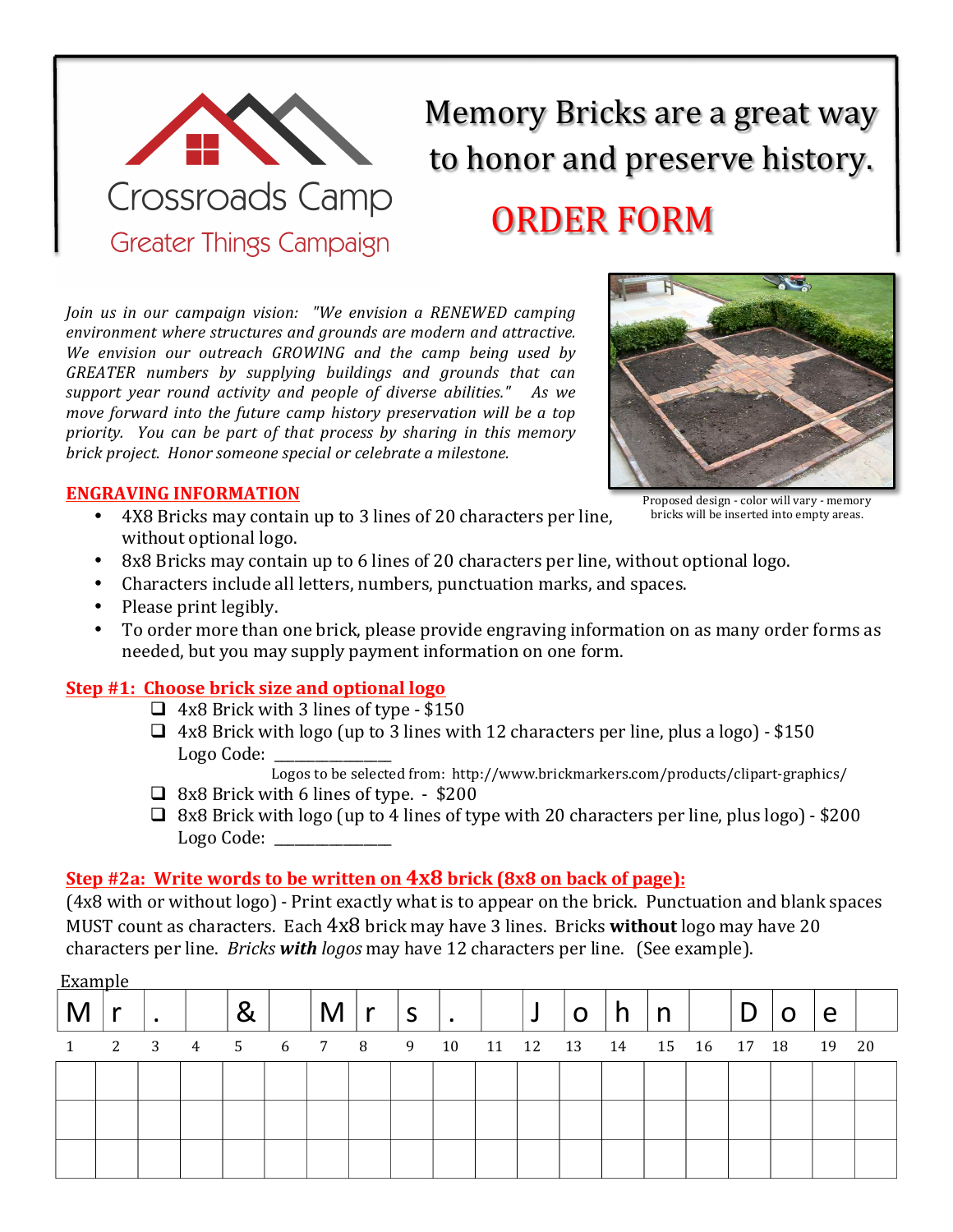

# Memory Bricks are a great way to honor and preserve history. **ORDER FORM**

*Join* us in our campaign vision: "We envision a RENEWED camping environment where structures and grounds are modern and attractive. We envision our outreach GROWING and the camp being used by *GREATER numbers by supplying buildings and grounds that can*  support year round activity and people of diverse abilities." As we *move forward into the future camp history preservation will be a top priority.* You can be part of that process by sharing in this memory *brick project.* Honor someone special or celebrate a milestone.



## **ENGRAVING INFORMATION**

• 4X8 Bricks may contain up to 3 lines of 20 characters per line, without optional logo.

Proposed design - color will vary - memory bricks will be inserted into empty areas.

- 8x8 Bricks may contain up to 6 lines of 20 characters per line, without optional logo.
- Characters include all letters, numbers, punctuation marks, and spaces.
- Please print legibly.
- To order more than one brick, please provide engraving information on as many order forms as needed, but you may supply payment information on one form.

## **Step #1: Choose brick size and optional logo**

- $\Box$  4x8 Brick with 3 lines of type \$150
- $\Box$  4x8 Brick with logo (up to 3 lines with 12 characters per line, plus a logo) \$150 Logo Code:

Logos to be selected from: http://www.brickmarkers.com/products/clipart-graphics/

- $\Box$  8x8 Brick with 6 lines of type. \$200
- $\Box$  8x8 Brick with logo (up to 4 lines of type with 20 characters per line, plus logo) \$200 Logo Code:

# **Step #2a: Write words to be written on 4x8 brick (8x8 on back of page):**

(4x8 with or without logo) - Print exactly what is to appear on the brick. Punctuation and blank spaces MUST count as characters. Each 4x8 brick may have 3 lines. Bricks **without** logo may have 20 characters per line. *Bricks* with *logos* may have 12 characters per line. (See example).

| Example | $\bullet$ |  | M                                | <b>M</b> | S | $\bullet$ | لہ | O | n |             |  | e     |  |
|---------|-----------|--|----------------------------------|----------|---|-----------|----|---|---|-------------|--|-------|--|
|         |           |  | 1 2 3 4 5 6 7 8 9 10 11 12 13 14 |          |   |           |    |   |   | 15 16 17 18 |  | 19 20 |  |
|         |           |  |                                  |          |   |           |    |   |   |             |  |       |  |
|         |           |  |                                  |          |   |           |    |   |   |             |  |       |  |
|         |           |  |                                  |          |   |           |    |   |   |             |  |       |  |
|         |           |  |                                  |          |   |           |    |   |   |             |  |       |  |